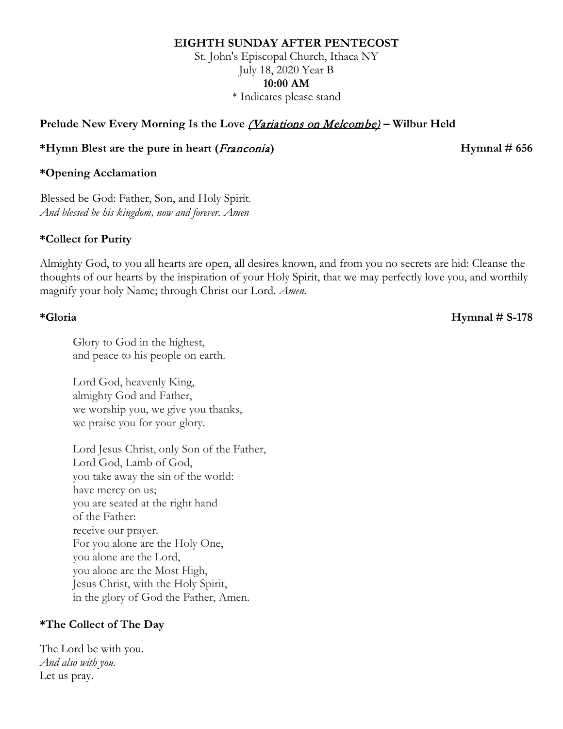### **EIGHTH SUNDAY AFTER PENTECOST**

St. John's Episcopal Church, Ithaca NY July 18, 2020 Year B **10:00 AM** \* Indicates please stand

## **Prelude New Every Morning Is the Love** (Variations on Melcombe) **– Wilbur Held**

### **\*Hymn Blest are the pure in heart (**Franconia**) Hymnal # 656**

## **\*Opening Acclamation**

Blessed be God: Father, Son, and Holy Spirit. *And blessed be his kingdom, now and forever. Amen*

## **\*Collect for Purity**

Almighty God, to you all hearts are open, all desires known, and from you no secrets are hid: Cleanse the thoughts of our hearts by the inspiration of your Holy Spirit, that we may perfectly love you, and worthily magnify your holy Name; through Christ our Lord. *Amen.*

## **\*Gloria Hymnal # S-178**

Glory to God in the highest, and peace to his people on earth.

Lord God, heavenly King, almighty God and Father, we worship you, we give you thanks, we praise you for your glory.

Lord Jesus Christ, only Son of the Father, Lord God, Lamb of God, you take away the sin of the world: have mercy on us; you are seated at the right hand of the Father: receive our prayer. For you alone are the Holy One, you alone are the Lord, you alone are the Most High, Jesus Christ, with the Holy Spirit, in the glory of God the Father, Amen.

# **\*The Collect of The Day**

The Lord be with you. *And also with you.* Let us pray.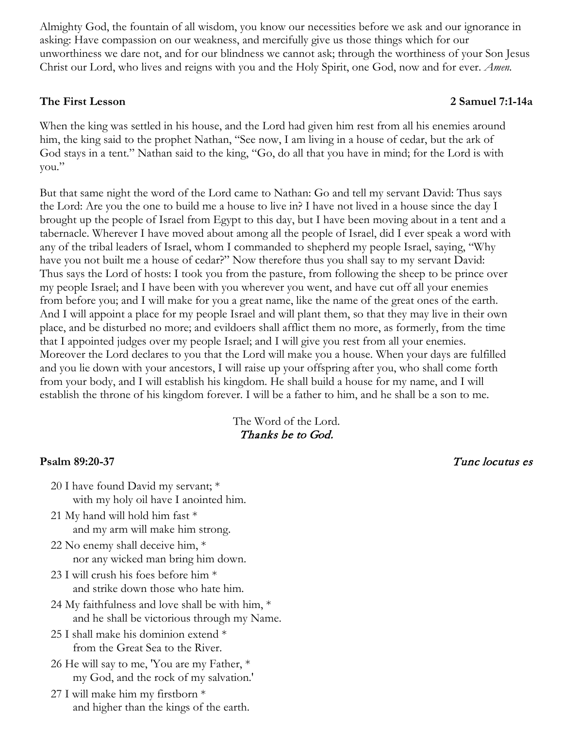Almighty God, the fountain of all wisdom, you know our necessities before we ask and our ignorance in asking: Have compassion on our weakness, and mercifully give us those things which for our unworthiness we dare not, and for our blindness we cannot ask; through the worthiness of your Son Jesus Christ our Lord, who lives and reigns with you and the Holy Spirit, one God, now and for ever. *Amen.*

## **The First Lesson 2 Samuel 7:1-14a**

When the king was settled in his house, and the Lord had given him rest from all his enemies around him, the king said to the prophet Nathan, "See now, I am living in a house of cedar, but the ark of God stays in a tent." Nathan said to the king, "Go, do all that you have in mind; for the Lord is with you."

But that same night the word of the Lord came to Nathan: Go and tell my servant David: Thus says the Lord: Are you the one to build me a house to live in? I have not lived in a house since the day I brought up the people of Israel from Egypt to this day, but I have been moving about in a tent and a tabernacle. Wherever I have moved about among all the people of Israel, did I ever speak a word with any of the tribal leaders of Israel, whom I commanded to shepherd my people Israel, saying, "Why have you not built me a house of cedar?" Now therefore thus you shall say to my servant David: Thus says the Lord of hosts: I took you from the pasture, from following the sheep to be prince over my people Israel; and I have been with you wherever you went, and have cut off all your enemies from before you; and I will make for you a great name, like the name of the great ones of the earth. And I will appoint a place for my people Israel and will plant them, so that they may live in their own place, and be disturbed no more; and evildoers shall afflict them no more, as formerly, from the time that I appointed judges over my people Israel; and I will give you rest from all your enemies. Moreover the Lord declares to you that the Lord will make you a house. When your days are fulfilled and you lie down with your ancestors, I will raise up your offspring after you, who shall come forth from your body, and I will establish his kingdom. He shall build a house for my name, and I will establish the throne of his kingdom forever. I will be a father to him, and he shall be a son to me.

# The Word of the Lord. Thanks be to God.

- 20 I have found David my servant; \* with my holy oil have I anointed him.
- 21 My hand will hold him fast \* and my arm will make him strong.
- 22 No enemy shall deceive him, \* nor any wicked man bring him down.
- 23 I will crush his foes before him \* and strike down those who hate him.
- 24 My faithfulness and love shall be with him, \* and he shall be victorious through my Name.
- 25 I shall make his dominion extend \* from the Great Sea to the River.
- 26 He will say to me, 'You are my Father, \* my God, and the rock of my salvation.'
- 27 I will make him my firstborn \* and higher than the kings of the earth.

## **Psalm 89:20-37** Tunc locutus es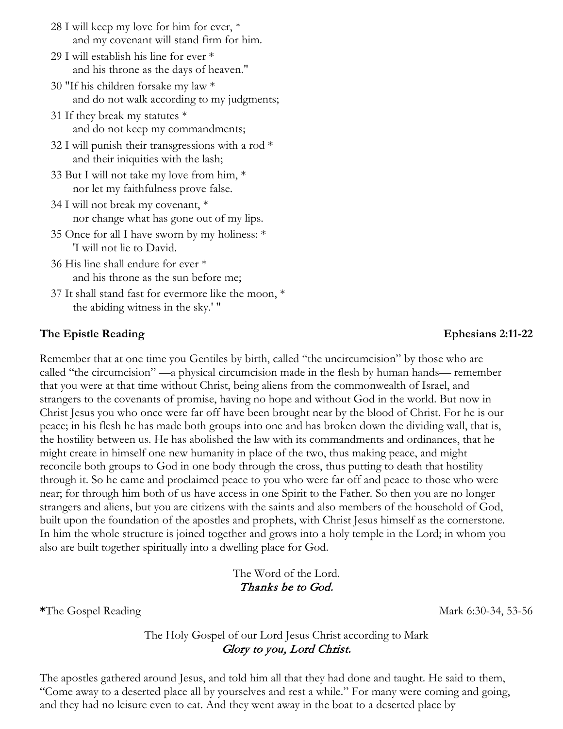- 28 I will keep my love for him for ever, \* and my covenant will stand firm for him.
- 29 I will establish his line for ever \* and his throne as the days of heaven."
- 30 "If his children forsake my law \* and do not walk according to my judgments;
- 31 If they break my statutes \* and do not keep my commandments;
- 32 I will punish their transgressions with a rod  $*$ and their iniquities with the lash;
- 33 But I will not take my love from him, \* nor let my faithfulness prove false.
- 34 I will not break my covenant, \* nor change what has gone out of my lips.
- 35 Once for all I have sworn by my holiness: \* 'I will not lie to David.
- 36 His line shall endure for ever \* and his throne as the sun before me;
- 37 It shall stand fast for evermore like the moon, \* the abiding witness in the sky.' "

## **The Epistle Reading Ephesians 2:11-22**

Remember that at one time you Gentiles by birth, called "the uncircumcision" by those who are called "the circumcision" —a physical circumcision made in the flesh by human hands— remember that you were at that time without Christ, being aliens from the commonwealth of Israel, and strangers to the covenants of promise, having no hope and without God in the world. But now in Christ Jesus you who once were far off have been brought near by the blood of Christ. For he is our peace; in his flesh he has made both groups into one and has broken down the dividing wall, that is, the hostility between us. He has abolished the law with its commandments and ordinances, that he might create in himself one new humanity in place of the two, thus making peace, and might reconcile both groups to God in one body through the cross, thus putting to death that hostility through it. So he came and proclaimed peace to you who were far off and peace to those who were near; for through him both of us have access in one Spirit to the Father. So then you are no longer strangers and aliens, but you are citizens with the saints and also members of the household of God, built upon the foundation of the apostles and prophets, with Christ Jesus himself as the cornerstone. In him the whole structure is joined together and grows into a holy temple in the Lord; in whom you also are built together spiritually into a dwelling place for God.

> The Word of the Lord. Thanks be to God.

**\*The Gospel Reading Mark 6:30-34, 53-56** 

## The Holy Gospel of our Lord Jesus Christ according to Mark Glory to you, Lord Christ.

The apostles gathered around Jesus, and told him all that they had done and taught. He said to them, "Come away to a deserted place all by yourselves and rest a while." For many were coming and going, and they had no leisure even to eat. And they went away in the boat to a deserted place by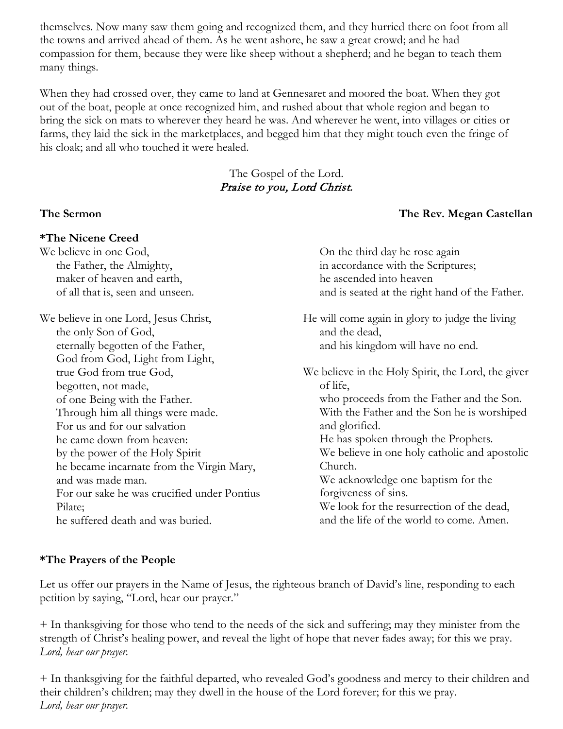themselves. Now many saw them going and recognized them, and they hurried there on foot from all the towns and arrived ahead of them. As he went ashore, he saw a great crowd; and he had compassion for them, because they were like sheep without a shepherd; and he began to teach them many things.

When they had crossed over, they came to land at Gennesaret and moored the boat. When they got out of the boat, people at once recognized him, and rushed about that whole region and began to bring the sick on mats to wherever they heard he was. And wherever he went, into villages or cities or farms, they laid the sick in the marketplaces, and begged him that they might touch even the fringe of his cloak; and all who touched it were healed.

## The Gospel of the Lord. Praise to you, Lord Christ.

# **The Sermon The Rev. Megan Castellan**

### **\*The Nicene Creed** We believe in one God, the Father, the Almighty,

maker of heaven and earth, of all that is, seen and unseen.

We believe in one Lord, Jesus Christ, the only Son of God, eternally begotten of the Father, God from God, Light from Light, true God from true God, begotten, not made, of one Being with the Father. Through him all things were made. For us and for our salvation he came down from heaven: by the power of the Holy Spirit he became incarnate from the Virgin Mary, and was made man. For our sake he was crucified under Pontius Pilate; he suffered death and was buried.

On the third day he rose again in accordance with the Scriptures; he ascended into heaven and is seated at the right hand of the Father.

He will come again in glory to judge the living and the dead, and his kingdom will have no end.

We believe in the Holy Spirit, the Lord, the giver of life, who proceeds from the Father and the Son. With the Father and the Son he is worshiped and glorified. He has spoken through the Prophets. We believe in one holy catholic and apostolic Church. We acknowledge one baptism for the forgiveness of sins. We look for the resurrection of the dead, and the life of the world to come. Amen.

# **\*The Prayers of the People**

Let us offer our prayers in the Name of Jesus, the righteous branch of David's line, responding to each petition by saying, "Lord, hear our prayer."

+ In thanksgiving for those who tend to the needs of the sick and suffering; may they minister from the strength of Christ's healing power, and reveal the light of hope that never fades away; for this we pray. *Lord, hear our prayer.*

+ In thanksgiving for the faithful departed, who revealed God's goodness and mercy to their children and their children's children; may they dwell in the house of the Lord forever; for this we pray. *Lord, hear our prayer.*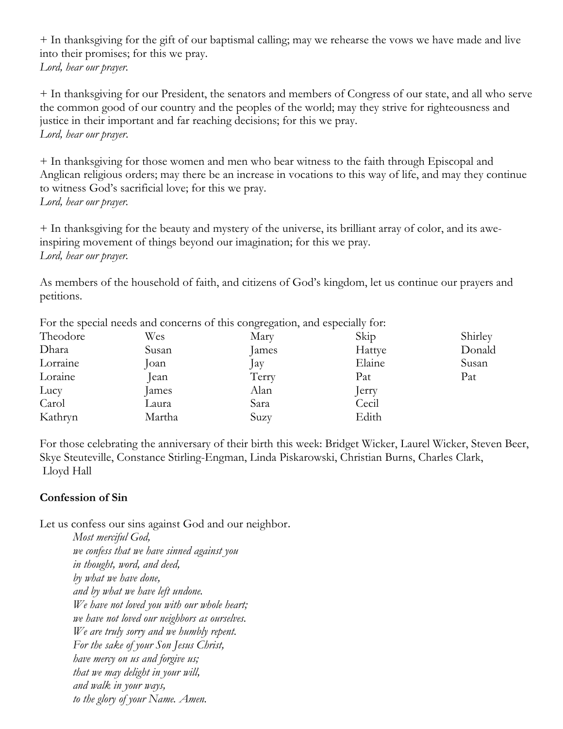+ In thanksgiving for the gift of our baptismal calling; may we rehearse the vows we have made and live into their promises; for this we pray. *Lord, hear our prayer.*

+ In thanksgiving for our President, the senators and members of Congress of our state, and all who serve the common good of our country and the peoples of the world; may they strive for righteousness and justice in their important and far reaching decisions; for this we pray. *Lord, hear our prayer*.

+ In thanksgiving for those women and men who bear witness to the faith through Episcopal and Anglican religious orders; may there be an increase in vocations to this way of life, and may they continue to witness God's sacrificial love; for this we pray. *Lord, hear our prayer.*

+ In thanksgiving for the beauty and mystery of the universe, its brilliant array of color, and its aweinspiring movement of things beyond our imagination; for this we pray. *Lord, hear our prayer.*

As members of the household of faith, and citizens of God's kingdom, let us continue our prayers and petitions.

| Tor the special needs and concerns of this congregation, and especially for. |       |        |         |
|------------------------------------------------------------------------------|-------|--------|---------|
| Wes                                                                          | Mary  | Skip   | Shirley |
| Susan                                                                        | James | Hattye | Donald  |
| $\alpha$ n                                                                   | Jay   | Elaine | Susan   |
| lean                                                                         | Terry | Pat    | Pat     |
| ames                                                                         | Alan  | erry   |         |
| Laura                                                                        | Sara  | Cecil  |         |
| Martha                                                                       | Suzy  | Edith  |         |
|                                                                              |       |        |         |

For the special needs and concerns of this congregation, and especially for:

For those celebrating the anniversary of their birth this week: Bridget Wicker, Laurel Wicker, Steven Beer, Skye Steuteville, Constance Stirling-Engman, Linda Piskarowski, Christian Burns, Charles Clark, Lloyd Hall

## **Confession of Sin**

Let us confess our sins against God and our neighbor.

*Most merciful God, we confess that we have sinned against you in thought, word, and deed, by what we have done, and by what we have left undone. We have not loved you with our whole heart; we have not loved our neighbors as ourselves. We are truly sorry and we humbly repent. For the sake of your Son Jesus Christ, have mercy on us and forgive us; that we may delight in your will, and walk in your ways, to the glory of your Name. Amen.*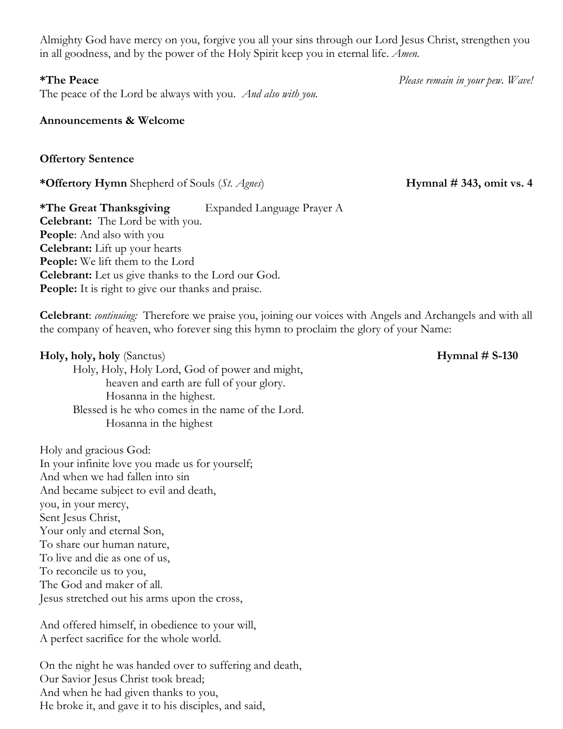Almighty God have mercy on you, forgive you all your sins through our Lord Jesus Christ, strengthen you in all goodness, and by the power of the Holy Spirit keep you in eternal life. *Amen.*

The peace of the Lord be always with you. *And also with you.*

## **Announcements & Welcome**

**Offertory Sentence** 

**\*Offertory Hymn** Shepherd of Souls (*St. Agnes*) **Hymnal # 343, omit vs. 4**

**\*The Great Thanksgiving** Expanded Language Prayer A **Celebrant:** The Lord be with you. **People**: And also with you **Celebrant:** Lift up your hearts **People:** We lift them to the Lord **Celebrant:** Let us give thanks to the Lord our God. **People:** It is right to give our thanks and praise.

**Celebrant**: *continuing:* Therefore we praise you, joining our voices with Angels and Archangels and with all the company of heaven, who forever sing this hymn to proclaim the glory of your Name:

**Holy, holy, holy** (Sanctus) **Hymnal # S-130** Holy, Holy, Holy Lord, God of power and might, heaven and earth are full of your glory. Hosanna in the highest. Blessed is he who comes in the name of the Lord. Hosanna in the highest

Holy and gracious God: In your infinite love you made us for yourself; And when we had fallen into sin And became subject to evil and death, you, in your mercy, Sent Jesus Christ, Your only and eternal Son, To share our human nature, To live and die as one of us, To reconcile us to you, The God and maker of all. Jesus stretched out his arms upon the cross,

And offered himself, in obedience to your will, A perfect sacrifice for the whole world.

On the night he was handed over to suffering and death, Our Savior Jesus Christ took bread; And when he had given thanks to you, He broke it, and gave it to his disciples, and said,

**\*The Peace** *Please remain in your pew. Wave!*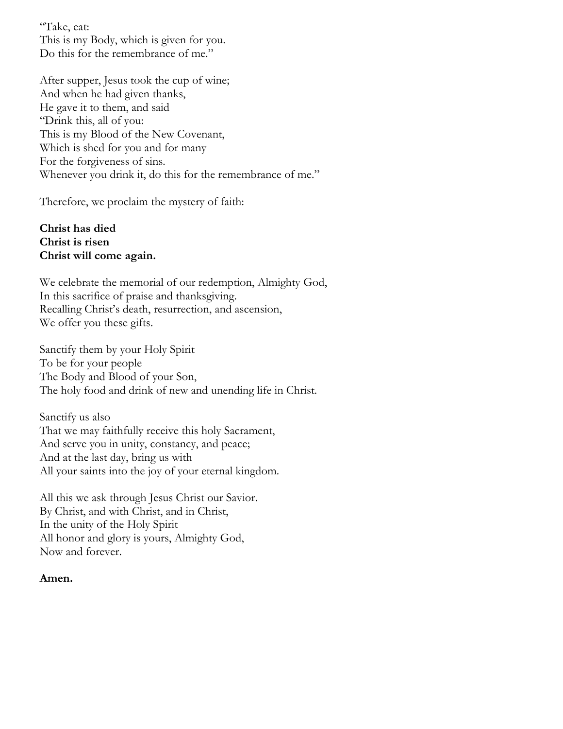"Take, eat: This is my Body, which is given for you. Do this for the remembrance of me."

After supper, Jesus took the cup of wine; And when he had given thanks, He gave it to them, and said "Drink this, all of you: This is my Blood of the New Covenant, Which is shed for you and for many For the forgiveness of sins. Whenever you drink it, do this for the remembrance of me."

Therefore, we proclaim the mystery of faith:

## **Christ has died Christ is risen Christ will come again.**

We celebrate the memorial of our redemption, Almighty God, In this sacrifice of praise and thanksgiving. Recalling Christ's death, resurrection, and ascension, We offer you these gifts.

Sanctify them by your Holy Spirit To be for your people The Body and Blood of your Son, The holy food and drink of new and unending life in Christ.

Sanctify us also That we may faithfully receive this holy Sacrament, And serve you in unity, constancy, and peace; And at the last day, bring us with All your saints into the joy of your eternal kingdom.

All this we ask through Jesus Christ our Savior. By Christ, and with Christ, and in Christ, In the unity of the Holy Spirit All honor and glory is yours, Almighty God, Now and forever.

## **Amen.**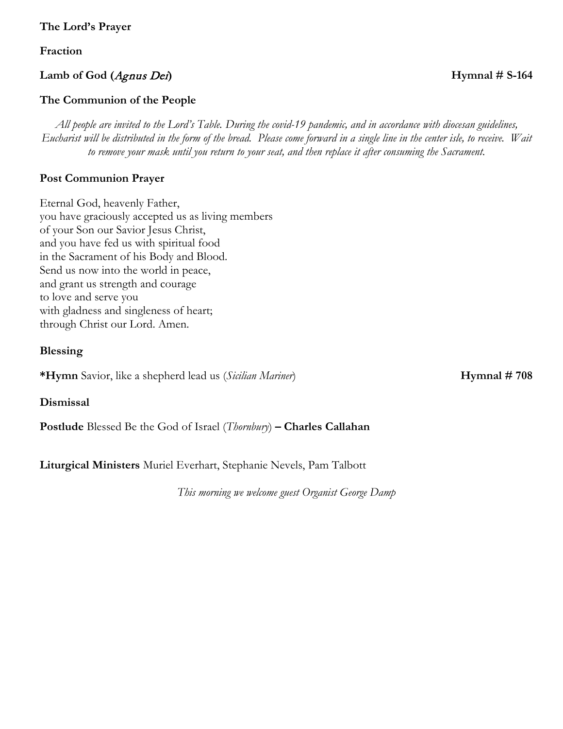## **The Lord's Prayer**

**Fraction**

## **Lamb of God (**Agnus Dei**) Hymnal # S-164**

## **The Communion of the People**

*All people are invited to the Lord's Table. During the covid-19 pandemic, and in accordance with diocesan guidelines, Eucharist will be distributed in the form of the bread. Please come forward in a single line in the center isle, to receive. Wait to remove your mask until you return to your seat, and then replace it after consuming the Sacrament.* 

## **Post Communion Prayer**

Eternal God, heavenly Father, you have graciously accepted us as living members of your Son our Savior Jesus Christ, and you have fed us with spiritual food in the Sacrament of his Body and Blood. Send us now into the world in peace, and grant us strength and courage to love and serve you with gladness and singleness of heart; through Christ our Lord. Amen.

### **Blessing**

**\*Hymn** Savior, like a shepherd lead us (*Sicilian Mariner*) **Hymnal # 708** 

**Dismissal**

**Postlude** Blessed Be the God of Israel (*Thornbury*) **– Charles Callahan**

**Liturgical Ministers** Muriel Everhart, Stephanie Nevels, Pam Talbott

*This morning we welcome guest Organist George Damp*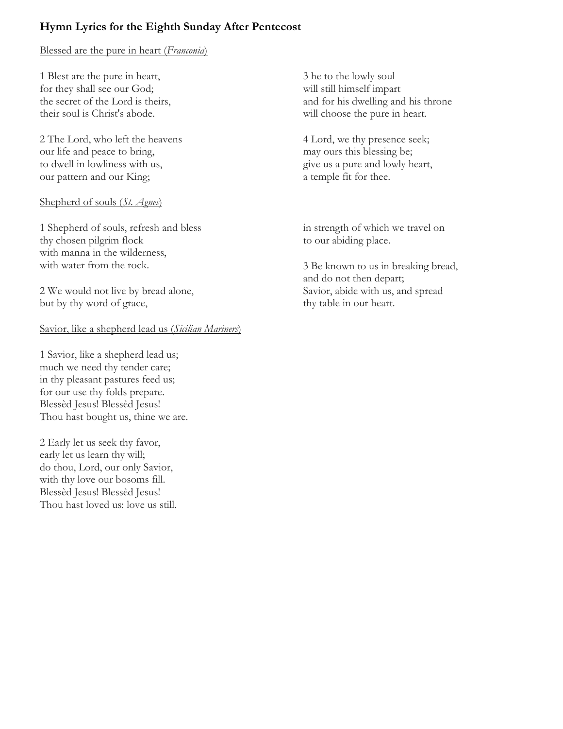# **Hymn Lyrics for the Eighth Sunday After Pentecost**

# Blessed are the pure in heart (*Franconia*)

1 Blest are the pure in heart, for they shall see our God; the secret of the Lord is theirs, their soul is Christ's abode.

2 The Lord, who left the heavens our life and peace to bring, to dwell in lowliness with us, our pattern and our King;

## Shepherd of souls (*St. Agnes*)

1 Shepherd of souls, refresh and bless thy chosen pilgrim flock with manna in the wilderness, with water from the rock.

2 We would not live by bread alone, but by thy word of grace,

# Savior, like a shepherd lead us (*Sicilian Mariners*)

1 Savior, like a shepherd lead us; much we need thy tender care; in thy pleasant pastures feed us; for our use thy folds prepare. Blessèd Jesus! Blessèd Jesus! Thou hast bought us, thine we are.

2 Early let us seek thy favor, early let us learn thy will; do thou, Lord, our only Savior, with thy love our bosoms fill. Blessèd Jesus! Blessèd Jesus! Thou hast loved us: love us still. 3 he to the lowly soul will still himself impart and for his dwelling and his throne will choose the pure in heart.

4 Lord, we thy presence seek; may ours this blessing be; give us a pure and lowly heart, a temple fit for thee.

in strength of which we travel on to our abiding place.

3 Be known to us in breaking bread, and do not then depart; Savior, abide with us, and spread thy table in our heart.